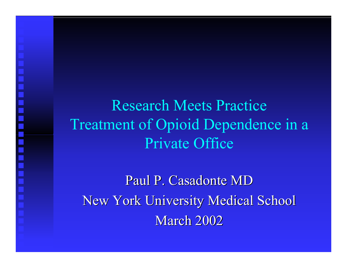Research Meets Practice Treatment of Opioid Dependence in a Private Office

<u>in hin hin mi mi hin hin hin h</u>

Paul P. Casadonte MD New York University Medical School **March 2002**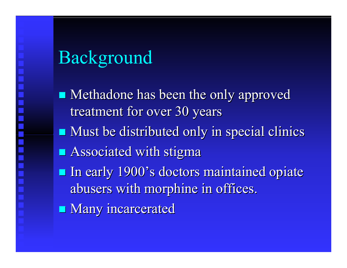# Background

 $\blacksquare$  Methadone has been the only approved treatment for over 30 years **Nust be distributed only in special clinics**  $\blacksquare$  Associated with stigma **In early 1900's doctors maintained opiate** abusers with morphine in offices. **Many incarcerated**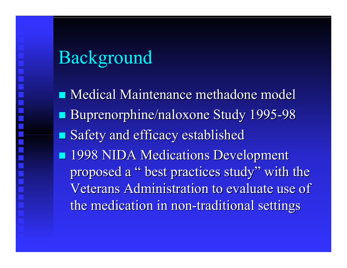# Background

**Medical Maintenance methadone model Buprenorphine/naloxone Study 1995-98 Safety and efficacy established 1998 NIDA Medications Development** proposed a " best practices study" with the Veterans Administration to evaluate use of the medication in non-traditional settings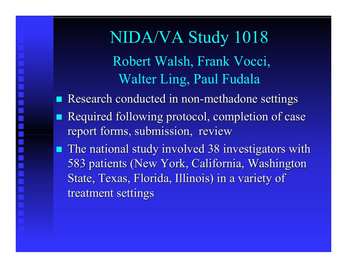NIDA/VA Study 1018 Robert Walsh, F rank Vocci, Walter Ling, Paul Fudala

- Research conducted in non-methadone settings
- Required following protocol, completion of case report forms, submission, review
- **The national study involved 38 investigators with** 583 patients (New York, California, Washington State, Texas, Florida, Illinois) in a variety of treatment settings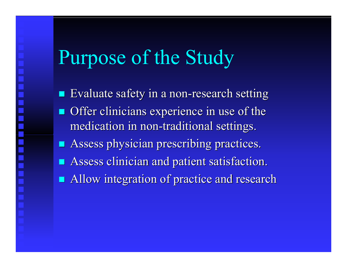# Purpose of the Study

- $\blacksquare$  Evaluate safety in a non-research setting
- Offer clinicians experience in use of the medication in non-traditional settings.
- Assess physician prescribing practices.
- $\blacksquare$  Assess clinician and patient satisfaction.
- **Allow integration of practice and research**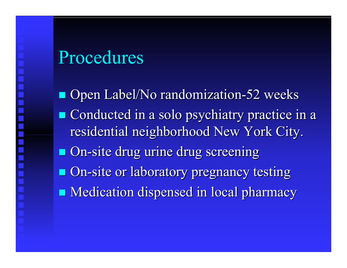# Procedures

**Open Label/No randomization-52 weeks Conducted in a solo psychiatry practice in a** residential neighborhood New York City. **On-site drug urine drug screening On-site or laboratory pregnancy testing Medication dispensed in local pharmacy**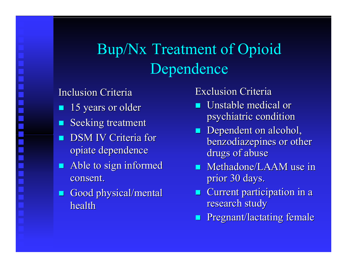# Bup/Nx Treatment of Opioid Dependence

## Inclusion Criteria

- F. 15 years or older
- F. Seeking treatment
- F. DSM IV Criteria for opiate dependence
- **Able to sign informed** consent.
- Good physical/mental health

# **Exclusion Criteria**

- F.  $\blacksquare$  Unstable medical or psychiatric condition
- **Dependent on alcohol,** benzodiazepines or other drugs of abuse
- $\blacksquare$  Methadone/LAAM use in prior 30 days.
- **Current participation in a** research study
- F **Pregnant/lactating female**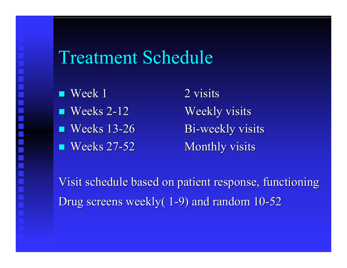# Treatment Schedule

- $\blacksquare$  Week 1 2 visits  $\blacksquare$  Weeks 2  $\blacksquare$  Weeks 13-26 Bi
- $\blacksquare$  Weeks 27

Weekly visits Bi-weekly visits Monthly visits

Visit schedule based on patient response, functioning Drug screens weekly(1-9) and random 10-52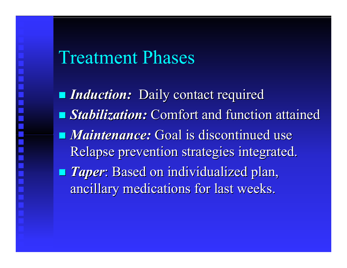# Treatment Phases

**Induction:** Daily contact required **E** *Stabilization:* Comfort and function attained **Maintenance:** Goal is discontinued use Relapse prevention strategies integrated. **Taper:** Based on individualized plan, ancillary medications for last weeks.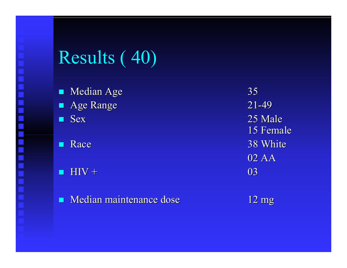# Results ( 40)

ш Median Age 35 Age Range  $21$ 

- ш
- F.
- ш  $HIV +$  03
- п **Median maintenance dose**

-49 Sex 25 Male 25 Male 15 Fem ale ■ Race 38 White 02 AA

12 m g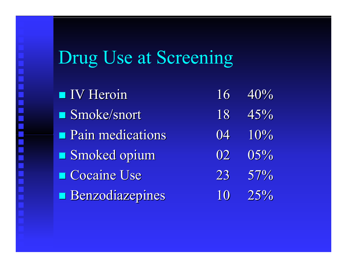# Drug Use at Screening

E

<u>han ahan ahan ahan ahan</u>

| <b>IV</b> Heroin       | $16^-$ | 40% |
|------------------------|--------|-----|
| Smoke/snort            | 18     | 45% |
| Pain medications       | 04     | 10% |
| Smoked opium           | 02     | 05% |
| Cocaine Use            | 23     | 57% |
| <b>Benzodiazepines</b> | 10     | 25% |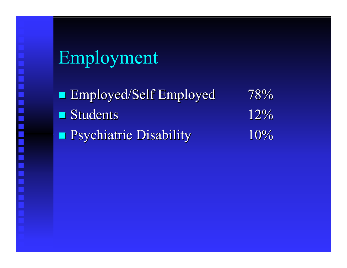# Employment

**Employed/Self Employed 78%** п Students 12% **P**sychiatric Disability 10%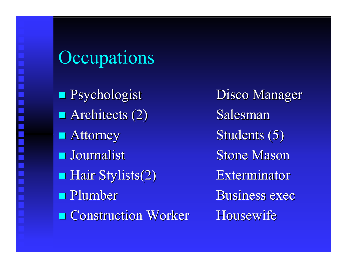# **Occupations**

**P**sychologist Disco M Architects  $(2)$  Salesman **Attorney Journalist Hair Stylists(2)** Hair Stylists(2) Exterminator **Plumber Example 21 Construction Worker Housewi** 

Disco Manager Students (5) **Stone Mason Business exec** Housewife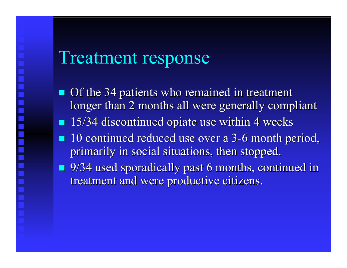# Treatment response

- $\blacksquare$  Of the 34 patients who remained in treatment longer than 2 months all were generally compliant
- $\blacksquare$  15/34 discontinued opiate use within 4 weeks
- $\blacksquare$  10 continued reduced use over a 3-6 month period, primarily in social situations, then stopped.
- **9/34 used sporadically past 6 months, continued in** treatment and were productive citizens.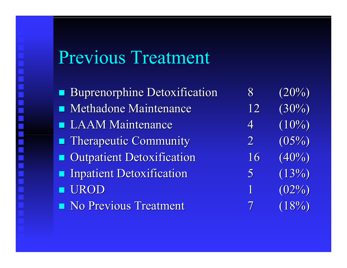# Previous Treatment

Buprenorphine Detoxification 8 (20%) **CONTRACTOR** Methadone Maintenance **LAAM Maintenance Therapeutic Community** Outpatient Detoxification 16 (40%) **Inpatient Detoxification**  UROD **No Previous Treatment** 

 $12 \quad (30\%)$ 4 $(10\%)$ 2 $(05\%)$ 5 $(13%)$ 1 $(02\%)$ 7 $(18%)$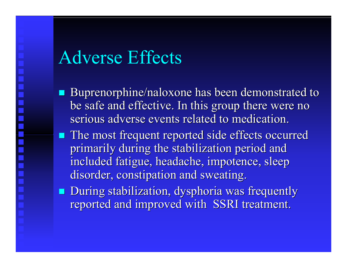# Adverse Effects

- Buprenorphine/naloxone has been demonstrated to be safe and effective. In this group there were no serious adverse events related to medication.
- **The most frequent reported side effects occurred** primarily during the stabilization period and included fatigue, headache, impotence, sleep disorder, constipation and sweating.
- **During stabilization, dysphoria was frequently** reported and improved with SSRI treatment.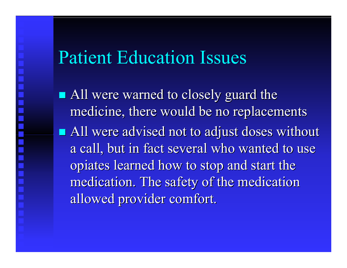# Patient Education Issues

• All were warned to closely guard the medicine, there would be no replacements All were advised not to adjust doses without a call, but in fact several who wanted to use opiates learned how to stop and start the medication. The safety of the medication allowed provider comfort.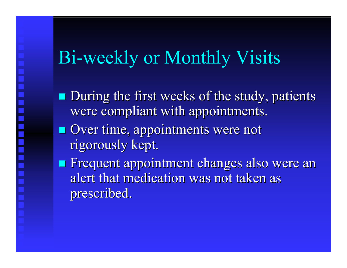# Bi-weekly or Monthly Visits

**During the first weeks of the study, patients** were compliant with appointments.

**Over time, appointments were not** rigor ousl y kept.

**Execute Frequent appointment changes also were an** alert that medication was not taken as prescribed.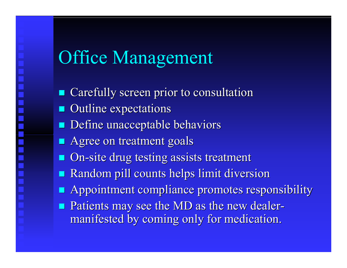# Office Management

- Carefully screen prior to consultation Carefully screen prior to consultation
- **CONTRACTOR** Outline expectations
- **Define unacceptable behaviors**
- **Agree on treatment goals**
- **On-site drug testing assists treatment**
- Random pill counts helps limit diversion
- **Appointment compliance promotes responsibility**
- **Patients may see the MD as the new dealer**manifested by coming only for medication.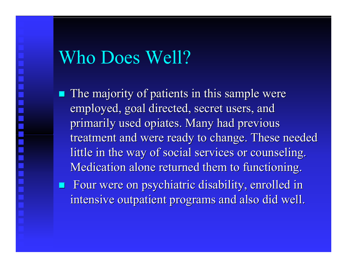# Who Does Well?

- $\blacksquare$  The majority of patients in this sample were employed, goal directed, secret users, and primarily used opiates. Many had previous treatment and were ready to change. These needed little in the way of social services or counseling. Medication alone returned them to functioning.
- **EXTERE FOUR WERE ON psychiatric disability, enrolled in** intensive outpatient programs and also did well.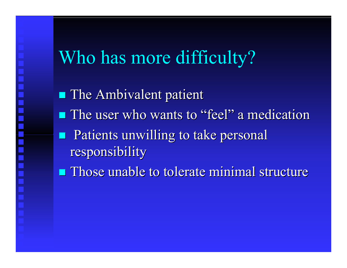# Who has more difficulty?

IIIIII IIIII IIIII III

**The Ambivalent patient The user who wants to "feel" a medication Patients unwilling to take personal** responsibility responsibility

 $\blacksquare$  Those unable to tolerate minimal structure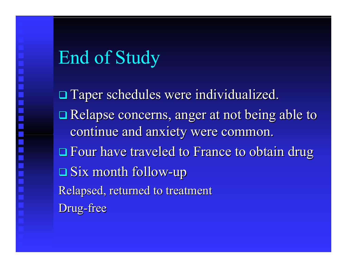# End of Study

 $\square$  Taper schedules were individualized. □ Relapse concerns, anger at not being able to continue and anxiety were common. □ Four have traveled to France to obtain drug  $\Box$  Six month follow-up Relapsed, returned to treatment Drug -free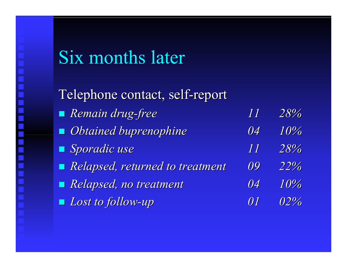# Six months later

Telephone contact, self-report *Remain drug Remain drug-free 11 28% Obtained Obtained buprenophine nophine 04 10% Sporadic use Sporadic use 11 28% Relapsed, returned to treatment Relapsed, returned to treatment 09 22% Relapsed, no treatment Relapsed, no treatment 04 10%* ■ *Lost to follow -up 01 02%*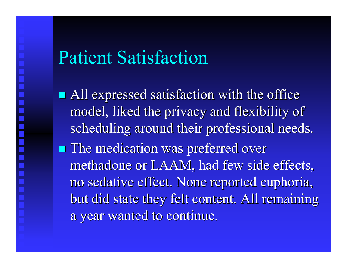# Patient Satisfaction

 $\blacksquare$  All expressed satisfaction with the office model, liked the privacy and flexibility of scheduling around their professional needs. **The medication was preferred over** methadone or LAAM, had few side effects, no sedative effect. None reported euphoria, but did state they felt content. All remaining a year wanted to continue.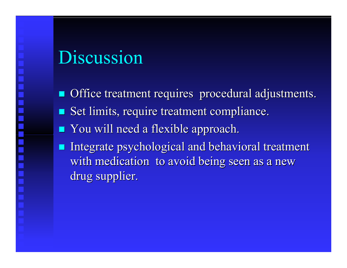# Discussion

Office treatment requires procedural adjustments.  $\blacksquare$  Set limits, require treatment compliance.

- **Nou** will need a flexible approach.
- **Service Service** Integrate psychological and behavioral treatment with medication to avoid being seen as a new drug supplier.